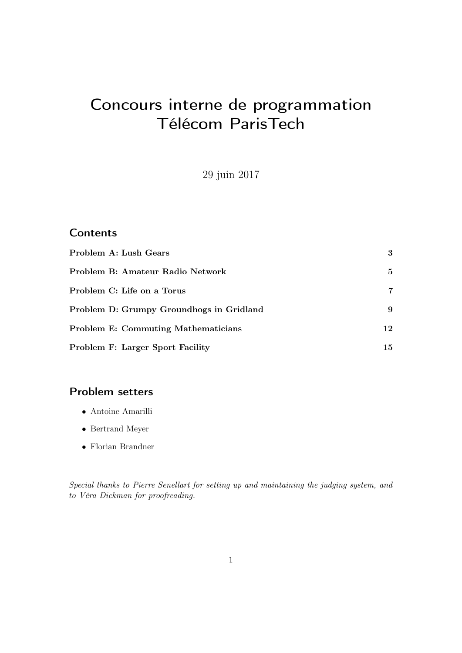# Concours interne de programmation Télécom ParisTech

29 juin 2017

### **Contents**

| Problem A: Lush Gears                      | 3   |
|--------------------------------------------|-----|
| Problem B: Amateur Radio Network           | 5.  |
| Problem C: Life on a Torus                 | 7   |
| Problem D: Grumpy Groundhogs in Gridland   | 9   |
| <b>Problem E: Commuting Mathematicians</b> | 12  |
| <b>Problem F: Larger Sport Facility</b>    | 15. |

### Problem setters

- Antoine Amarilli
- Bertrand Meyer
- Florian Brandner

Special thanks to Pierre Senellart for setting up and maintaining the judging system, and to Véra Dickman for proofreading.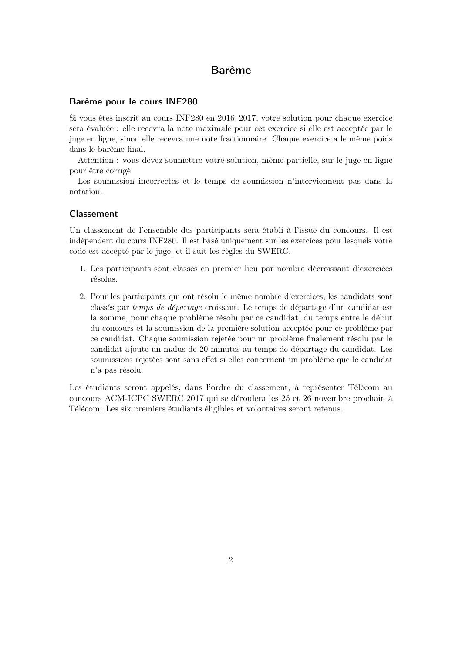### Barème

### Barème pour le cours INF280

Si vous êtes inscrit au cours INF280 en 2016–2017, votre solution pour chaque exercice sera évaluée : elle recevra la note maximale pour cet exercice si elle est acceptée par le juge en ligne, sinon elle recevra une note fractionnaire. Chaque exercice a le même poids dans le barème final.

Attention : vous devez soumettre votre solution, même partielle, sur le juge en ligne pour être corrigé.

Les soumission incorrectes et le temps de soumission n'interviennent pas dans la notation.

#### Classement

Un classement de l'ensemble des participants sera établi à l'issue du concours. Il est indépendent du cours INF280. Il est basé uniquement sur les exercices pour lesquels votre code est accepté par le juge, et il suit les règles du SWERC.

- 1. Les participants sont classés en premier lieu par nombre décroissant d'exercices résolus.
- 2. Pour les participants qui ont résolu le même nombre d'exercices, les candidats sont classés par temps de départage croissant. Le temps de départage d'un candidat est la somme, pour chaque problème résolu par ce candidat, du temps entre le début du concours et la soumission de la première solution acceptée pour ce problème par ce candidat. Chaque soumission rejetée pour un problème finalement résolu par le candidat ajoute un malus de 20 minutes au temps de départage du candidat. Les soumissions rejetées sont sans effet si elles concernent un problème que le candidat n'a pas résolu.

Les étudiants seront appelés, dans l'ordre du classement, à représenter Télécom au concours ACM-ICPC SWERC 2017 qui se déroulera les 25 et 26 novembre prochain à Télécom. Les six premiers étudiants éligibles et volontaires seront retenus.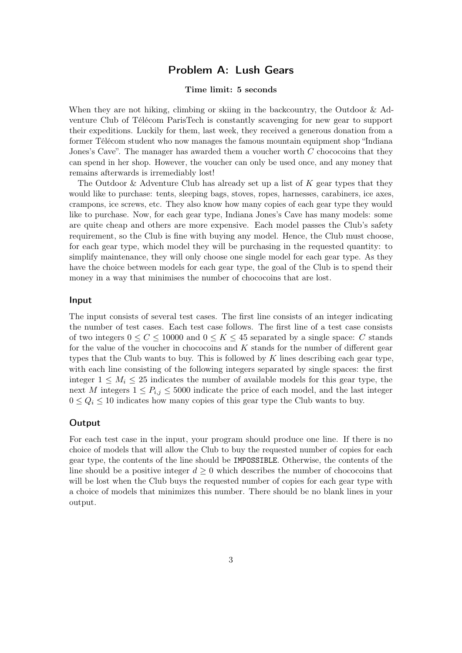### Problem A: Lush Gears

### Time limit: 5 seconds

<span id="page-2-0"></span>When they are not hiking, climbing or skiing in the backcountry, the Outdoor & Adventure Club of Télécom ParisTech is constantly scavenging for new gear to support their expeditions. Luckily for them, last week, they received a generous donation from a former Télécom student who now manages the famous mountain equipment shop "Indiana Jones's Cave". The manager has awarded them a voucher worth C chococoins that they can spend in her shop. However, the voucher can only be used once, and any money that remains afterwards is irremediably lost!

The Outdoor  $\&$  Adventure Club has already set up a list of K gear types that they would like to purchase: tents, sleeping bags, stoves, ropes, harnesses, carabiners, ice axes, crampons, ice screws, etc. They also know how many copies of each gear type they would like to purchase. Now, for each gear type, Indiana Jones's Cave has many models: some are quite cheap and others are more expensive. Each model passes the Club's safety requirement, so the Club is fine with buying any model. Hence, the Club must choose, for each gear type, which model they will be purchasing in the requested quantity: to simplify maintenance, they will only choose one single model for each gear type. As they have the choice between models for each gear type, the goal of the Club is to spend their money in a way that minimises the number of chococoins that are lost.

#### Input

The input consists of several test cases. The first line consists of an integer indicating the number of test cases. Each test case follows. The first line of a test case consists of two integers  $0 \leq C \leq 10000$  and  $0 \leq K \leq 45$  separated by a single space: C stands for the value of the voucher in chococoins and  $K$  stands for the number of different gear types that the Club wants to buy. This is followed by  $K$  lines describing each gear type, with each line consisting of the following integers separated by single spaces: the first integer  $1 \leq M_i \leq 25$  indicates the number of available models for this gear type, the next M integers  $1 \le P_{i,j} \le 5000$  indicate the price of each model, and the last integer  $0 \le Q_i \le 10$  indicates how many copies of this gear type the Club wants to buy.

#### **Output**

For each test case in the input, your program should produce one line. If there is no choice of models that will allow the Club to buy the requested number of copies for each gear type, the contents of the line should be IMPOSSIBLE. Otherwise, the contents of the line should be a positive integer  $d \geq 0$  which describes the number of chococoins that will be lost when the Club buys the requested number of copies for each gear type with a choice of models that minimizes this number. There should be no blank lines in your output.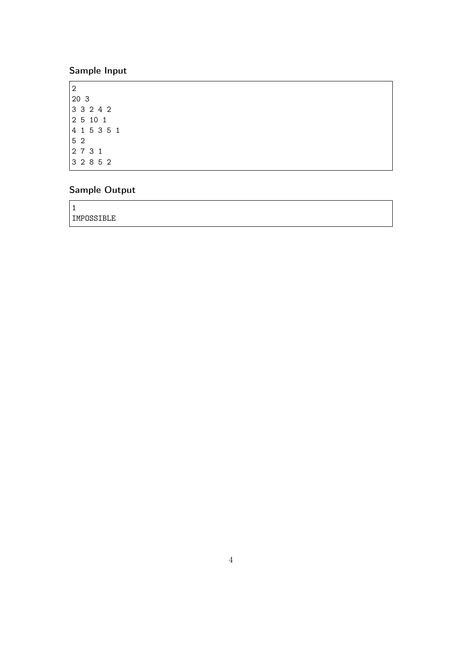# Sample Input

# Sample Output

| - 1<br><b>.</b> |  |
|-----------------|--|
| IMPOSSIBLE      |  |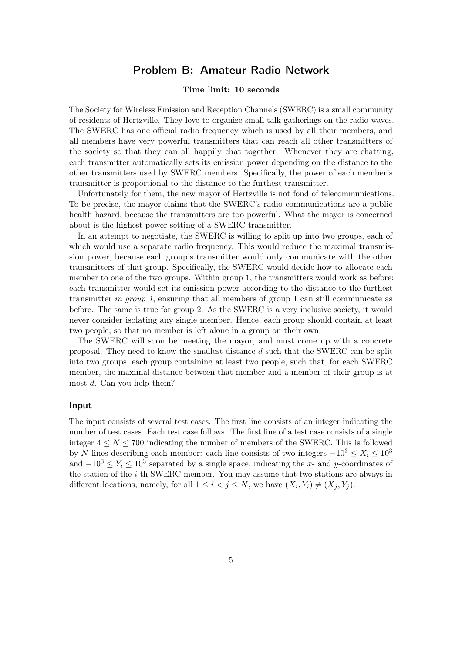### Problem B: Amateur Radio Network

#### Time limit: 10 seconds

<span id="page-4-0"></span>The Society for Wireless Emission and Reception Channels (SWERC) is a small community of residents of Hertzville. They love to organize small-talk gatherings on the radio-waves. The SWERC has one official radio frequency which is used by all their members, and all members have very powerful transmitters that can reach all other transmitters of the society so that they can all happily chat together. Whenever they are chatting, each transmitter automatically sets its emission power depending on the distance to the other transmitters used by SWERC members. Specifically, the power of each member's transmitter is proportional to the distance to the furthest transmitter.

Unfortunately for them, the new mayor of Hertzville is not fond of telecommunications. To be precise, the mayor claims that the SWERC's radio communications are a public health hazard, because the transmitters are too powerful. What the mayor is concerned about is the highest power setting of a SWERC transmitter.

In an attempt to negotiate, the SWERC is willing to split up into two groups, each of which would use a separate radio frequency. This would reduce the maximal transmission power, because each group's transmitter would only communicate with the other transmitters of that group. Specifically, the SWERC would decide how to allocate each member to one of the two groups. Within group 1, the transmitters would work as before: each transmitter would set its emission power according to the distance to the furthest transmitter in group 1, ensuring that all members of group 1 can still communicate as before. The same is true for group 2. As the SWERC is a very inclusive society, it would never consider isolating any single member. Hence, each group should contain at least two people, so that no member is left alone in a group on their own.

The SWERC will soon be meeting the mayor, and must come up with a concrete proposal. They need to know the smallest distance d such that the SWERC can be split into two groups, each group containing at least two people, such that, for each SWERC member, the maximal distance between that member and a member of their group is at most d. Can you help them?

#### Input

The input consists of several test cases. The first line consists of an integer indicating the number of test cases. Each test case follows. The first line of a test case consists of a single integer  $4 \leq N \leq 700$  indicating the number of members of the SWERC. This is followed by N lines describing each member: each line consists of two integers  $-10^3 \le X_i \le 10^3$ and  $-10^3 \le Y_i \le 10^3$  separated by a single space, indicating the x- and y-coordinates of the station of the i-th SWERC member. You may assume that two stations are always in different locations, namely, for all  $1 \leq i < j \leq N$ , we have  $(X_i, Y_i) \neq (X_j, Y_j)$ .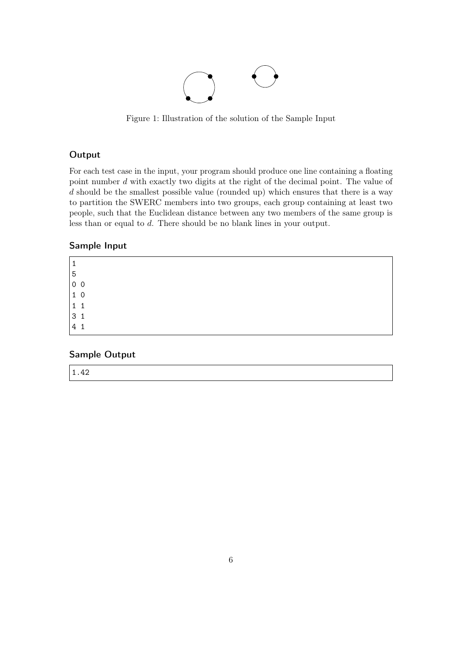

Figure 1: Illustration of the solution of the Sample Input

### **Output**

For each test case in the input, your program should produce one line containing a floating point number d with exactly two digits at the right of the decimal point. The value of d should be the smallest possible value (rounded up) which ensures that there is a way to partition the SWERC members into two groups, each group containing at least two people, such that the Euclidean distance between any two members of the same group is less than or equal to d. There should be no blank lines in your output.

### Sample Input

| 0 <sub>0</sub>                        |  |  |  |  |
|---------------------------------------|--|--|--|--|
| $\begin{vmatrix} 1 & 0 \end{vmatrix}$ |  |  |  |  |
| $1\quad1$                             |  |  |  |  |
| 3 <sub>1</sub>                        |  |  |  |  |
| 4<br>1                                |  |  |  |  |
|                                       |  |  |  |  |

### Sample Output

1.42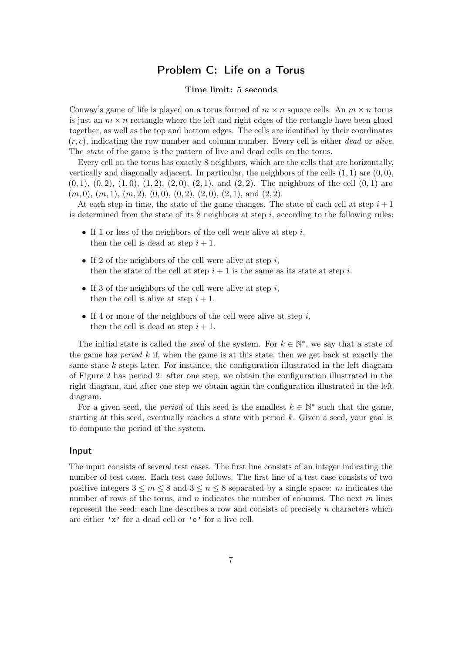### Problem C: Life on a Torus

### Time limit: 5 seconds

<span id="page-6-0"></span>Conway's game of life is played on a torus formed of  $m \times n$  square cells. An  $m \times n$  torus is just an  $m \times n$  rectangle where the left and right edges of the rectangle have been glued together, as well as the top and bottom edges. The cells are identified by their coordinates  $(r, c)$ , indicating the row number and column number. Every cell is either *dead* or *alive*. The state of the game is the pattern of live and dead cells on the torus.

Every cell on the torus has exactly 8 neighbors, which are the cells that are horizontally, vertically and diagonally adjacent. In particular, the neighbors of the cells  $(1, 1)$  are  $(0, 0)$ ,  $(0, 1), (0, 2), (1, 0), (1, 2), (2, 0), (2, 1),$  and  $(2, 2)$ . The neighbors of the cell  $(0, 1)$  are  $(m, 0), (m, 1), (m, 2), (0, 0), (0, 2), (2, 0), (2, 1),$  and  $(2, 2)$ .

At each step in time, the state of the game changes. The state of each cell at step  $i + 1$ is determined from the state of its 8 neighbors at step  $i$ , according to the following rules:

- If 1 or less of the neighbors of the cell were alive at step  $i$ , then the cell is dead at step  $i + 1$ .
- If 2 of the neighbors of the cell were alive at step  $i$ . then the state of the cell at step  $i + 1$  is the same as its state at step i.
- If 3 of the neighbors of the cell were alive at step  $i$ , then the cell is alive at step  $i + 1$ .
- If 4 or more of the neighbors of the cell were alive at step  $i$ , then the cell is dead at step  $i + 1$ .

The initial state is called the *seed* of the system. For  $k \in \mathbb{N}^*$ , we say that a state of the game has *period*  $k$  if, when the game is at this state, then we get back at exactly the same state  $k$  steps later. For instance, the configuration illustrated in the left diagram of Figure [2](#page-7-0) has period 2: after one step, we obtain the configuration illustrated in the right diagram, and after one step we obtain again the configuration illustrated in the left diagram.

For a given seed, the *period* of this seed is the smallest  $k \in \mathbb{N}^*$  such that the game, starting at this seed, eventually reaches a state with period  $k$ . Given a seed, your goal is to compute the period of the system.

#### Input

The input consists of several test cases. The first line consists of an integer indicating the number of test cases. Each test case follows. The first line of a test case consists of two positive integers  $3 \leq m \leq 8$  and  $3 \leq n \leq 8$  separated by a single space: m indicates the number of rows of the torus, and n indicates the number of columns. The next m lines represent the seed: each line describes a row and consists of precisely  $n$  characters which are either 'x' for a dead cell or 'o' for a live cell.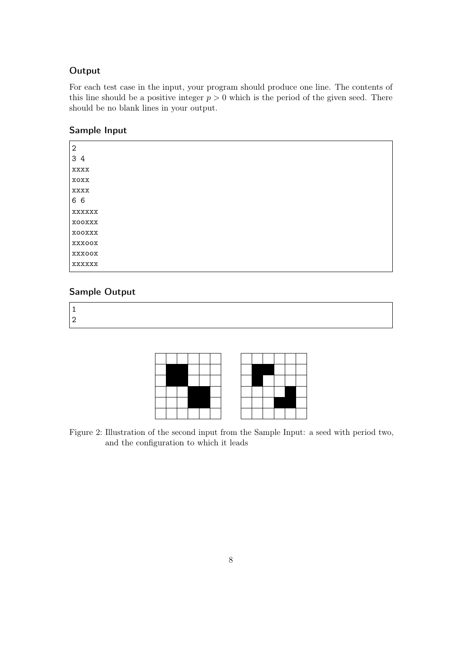### **Output**

For each test case in the input, your program should produce one line. The contents of this line should be a positive integer  $p > 0$  which is the period of the given seed. There should be no blank lines in your output.

| Sample Input |  |
|--------------|--|
|--------------|--|

| 2   |               |
|-----|---------------|
| 34  |               |
|     | xxxx          |
|     | <b>XOXX</b>   |
|     | xxxx          |
| ჩ ჩ |               |
|     | <b>XXXXXX</b> |
|     | XOOXXX        |
|     | XOOXXX        |
|     | xxxoox        |
|     | XXXOOX        |
|     | xxxxxx        |

### Sample Output

1 2



<span id="page-7-0"></span>Figure 2: Illustration of the second input from the Sample Input: a seed with period two, and the configuration to which it leads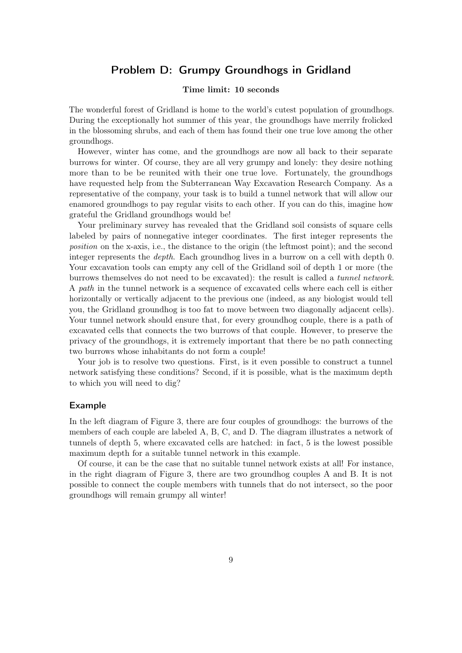### Problem D: Grumpy Groundhogs in Gridland

### Time limit: 10 seconds

<span id="page-8-0"></span>The wonderful forest of Gridland is home to the world's cutest population of groundhogs. During the exceptionally hot summer of this year, the groundhogs have merrily frolicked in the blossoming shrubs, and each of them has found their one true love among the other groundhogs.

However, winter has come, and the groundhogs are now all back to their separate burrows for winter. Of course, they are all very grumpy and lonely: they desire nothing more than to be be reunited with their one true love. Fortunately, the groundhogs have requested help from the Subterranean Way Excavation Research Company. As a representative of the company, your task is to build a tunnel network that will allow our enamored groundhogs to pay regular visits to each other. If you can do this, imagine how grateful the Gridland groundhogs would be!

Your preliminary survey has revealed that the Gridland soil consists of square cells labeled by pairs of nonnegative integer coordinates. The first integer represents the position on the x-axis, i.e., the distance to the origin (the leftmost point); and the second integer represents the depth. Each groundhog lives in a burrow on a cell with depth 0. Your excavation tools can empty any cell of the Gridland soil of depth 1 or more (the burrows themselves do not need to be excavated): the result is called a tunnel network. A path in the tunnel network is a sequence of excavated cells where each cell is either horizontally or vertically adjacent to the previous one (indeed, as any biologist would tell you, the Gridland groundhog is too fat to move between two diagonally adjacent cells). Your tunnel network should ensure that, for every groundhog couple, there is a path of excavated cells that connects the two burrows of that couple. However, to preserve the privacy of the groundhogs, it is extremely important that there be no path connecting two burrows whose inhabitants do not form a couple!

Your job is to resolve two questions. First, is it even possible to construct a tunnel network satisfying these conditions? Second, if it is possible, what is the maximum depth to which you will need to dig?

### Example

In the left diagram of Figure [3,](#page-9-0) there are four couples of groundhogs: the burrows of the members of each couple are labeled A, B, C, and D. The diagram illustrates a network of tunnels of depth 5, where excavated cells are hatched: in fact, 5 is the lowest possible maximum depth for a suitable tunnel network in this example.

Of course, it can be the case that no suitable tunnel network exists at all! For instance, in the right diagram of Figure [3,](#page-9-0) there are two groundhog couples A and B. It is not possible to connect the couple members with tunnels that do not intersect, so the poor groundhogs will remain grumpy all winter!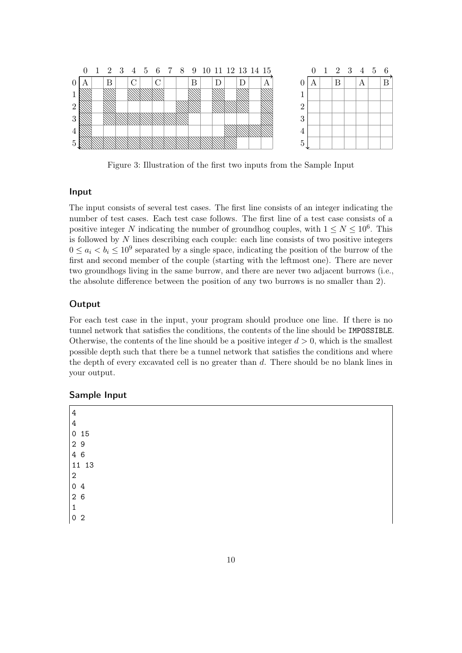

<span id="page-9-0"></span>Figure 3: Illustration of the first two inputs from the Sample Input

### Input

The input consists of several test cases. The first line consists of an integer indicating the number of test cases. Each test case follows. The first line of a test case consists of a positive integer N indicating the number of groundhog couples, with  $1 \leq N \leq 10^6$ . This is followed by N lines describing each couple: each line consists of two positive integers  $0 \le a_i < b_i \le 10^9$  separated by a single space, indicating the position of the burrow of the first and second member of the couple (starting with the leftmost one). There are never two groundhogs living in the same burrow, and there are never two adjacent burrows (i.e., the absolute difference between the position of any two burrows is no smaller than 2).

### **Output**

For each test case in the input, your program should produce one line. If there is no tunnel network that satisfies the conditions, the contents of the line should be IMPOSSIBLE. Otherwise, the contents of the line should be a positive integer  $d > 0$ , which is the smallest possible depth such that there be a tunnel network that satisfies the conditions and where the depth of every excavated cell is no greater than d. There should be no blank lines in your output.

### Sample Input

4 4 0 15 2 9 4 6 11 13 2 0 4 2 6 1 0 2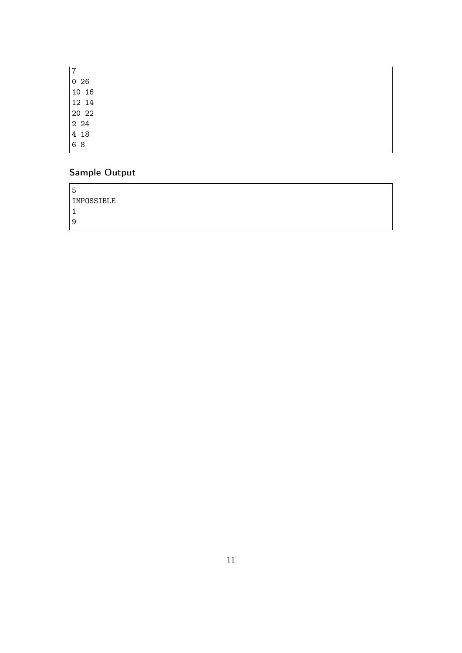| 7  |       |
|----|-------|
|    | 026   |
|    | 10 16 |
|    | 12 14 |
|    | 20 22 |
|    | 2 24  |
|    | 418   |
| 68 |       |

# Sample Output

| ა          |  |
|------------|--|
| IMPOSSIBLE |  |
| ۴          |  |
| 9          |  |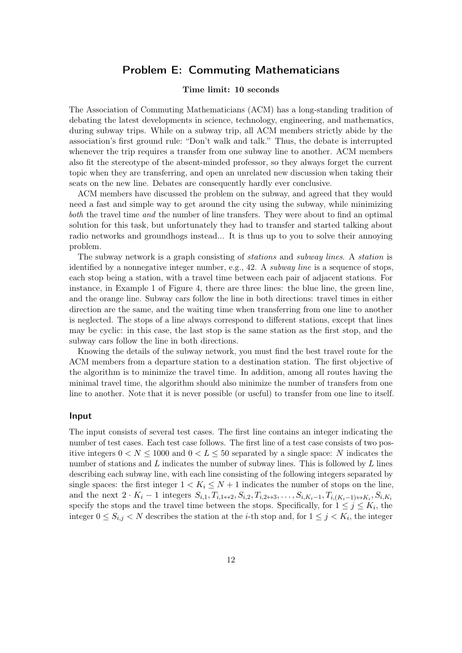### Problem E: Commuting Mathematicians

### Time limit: 10 seconds

<span id="page-11-0"></span>The Association of Commuting Mathematicians (ACM) has a long-standing tradition of debating the latest developments in science, technology, engineering, and mathematics, during subway trips. While on a subway trip, all ACM members strictly abide by the association's first ground rule: "Don't walk and talk." Thus, the debate is interrupted whenever the trip requires a transfer from one subway line to another. ACM members also fit the stereotype of the absent-minded professor, so they always forget the current topic when they are transferring, and open an unrelated new discussion when taking their seats on the new line. Debates are consequently hardly ever conclusive.

ACM members have discussed the problem on the subway, and agreed that they would need a fast and simple way to get around the city using the subway, while minimizing both the travel time and the number of line transfers. They were about to find an optimal solution for this task, but unfortunately they had to transfer and started talking about radio networks and groundhogs instead... It is thus up to you to solve their annoying problem.

The subway network is a graph consisting of stations and subway lines. A station is identified by a nonnegative integer number, e.g.,  $42.$  A *subway line* is a sequence of stops, each stop being a station, with a travel time between each pair of adjacent stations. For instance, in Example 1 of Figure [4,](#page-13-0) there are three lines: the blue line, the green line, and the orange line. Subway cars follow the line in both directions: travel times in either direction are the same, and the waiting time when transferring from one line to another is neglected. The stops of a line always correspond to different stations, except that lines may be cyclic: in this case, the last stop is the same station as the first stop, and the subway cars follow the line in both directions.

Knowing the details of the subway network, you must find the best travel route for the ACM members from a departure station to a destination station. The first objective of the algorithm is to minimize the travel time. In addition, among all routes having the minimal travel time, the algorithm should also minimize the number of transfers from one line to another. Note that it is never possible (or useful) to transfer from one line to itself.

#### Input

The input consists of several test cases. The first line contains an integer indicating the number of test cases. Each test case follows. The first line of a test case consists of two positive integers  $0 < N \leq 1000$  and  $0 < L \leq 50$  separated by a single space: N indicates the number of stations and  $L$  indicates the number of subway lines. This is followed by  $L$  lines describing each subway line, with each line consisting of the following integers separated by single spaces: the first integer  $1 < K_i \leq N+1$  indicates the number of stops on the line, and the next  $2 \cdot K_i - 1$  integers  $S_{i,1}, T_{i,1 \leftrightarrow 2}, S_{i,2}, T_{i,2 \leftrightarrow 3}, \ldots, S_{i,K_i-1}, T_{i,(K_i-1) \leftrightarrow K_i}, S_{i,K_i}$ specify the stops and the travel time between the stops. Specifically, for  $1 \leq j \leq K_i$ , the integer  $0 \leq S_{i,j} < N$  describes the station at the *i*-th stop and, for  $1 \leq j < K_i$ , the integer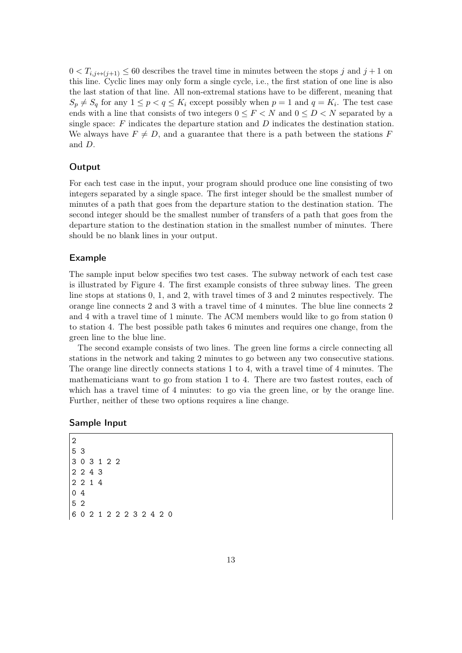$0 < T_{i,j \leftrightarrow (j+1)} \leq 60$  describes the travel time in minutes between the stops j and  $j+1$  on this line. Cyclic lines may only form a single cycle, i.e., the first station of one line is also the last station of that line. All non-extremal stations have to be different, meaning that  $S_p \neq S_q$  for any  $1 \leq p < q \leq K_i$  except possibly when  $p = 1$  and  $q = K_i$ . The test case ends with a line that consists of two integers  $0 \leq F < N$  and  $0 \leq D < N$  separated by a single space:  $F$  indicates the departure station and  $D$  indicates the destination station. We always have  $F \neq D$ , and a guarantee that there is a path between the stations F and D.

#### **Output**

For each test case in the input, your program should produce one line consisting of two integers separated by a single space. The first integer should be the smallest number of minutes of a path that goes from the departure station to the destination station. The second integer should be the smallest number of transfers of a path that goes from the departure station to the destination station in the smallest number of minutes. There should be no blank lines in your output.

#### Example

The sample input below specifies two test cases. The subway network of each test case is illustrated by Figure [4.](#page-13-0) The first example consists of three subway lines. The green line stops at stations 0, 1, and 2, with travel times of 3 and 2 minutes respectively. The orange line connects 2 and 3 with a travel time of 4 minutes. The blue line connects 2 and 4 with a travel time of 1 minute. The ACM members would like to go from station 0 to station 4. The best possible path takes 6 minutes and requires one change, from the green line to the blue line.

The second example consists of two lines. The green line forms a circle connecting all stations in the network and taking 2 minutes to go between any two consecutive stations. The orange line directly connects stations 1 to 4, with a travel time of 4 minutes. The mathematicians want to go from station 1 to 4. There are two fastest routes, each of which has a travel time of 4 minutes: to go via the green line, or by the orange line. Further, neither of these two options requires a line change.

#### Sample Input

2 5 3 3 0 3 1 2 2 2 2 4 3 2 2 1 4 0 4 5 2 6 0 2 1 2 2 2 3 2 4 2 0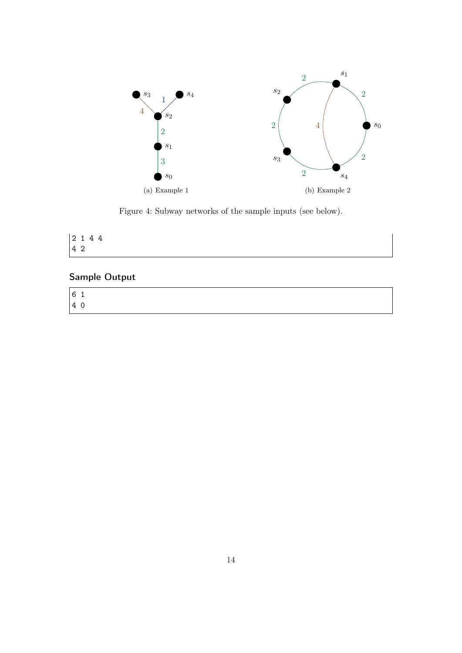

<span id="page-13-0"></span>Figure 4: Subway networks of the sample inputs (see below).

| $ 2 \t1 \t4 \t4$ |  |  |  |
|------------------|--|--|--|
| $ 4\;2$          |  |  |  |

# Sample Output

| 61 |  |  |  |  |  |
|----|--|--|--|--|--|
| 40 |  |  |  |  |  |